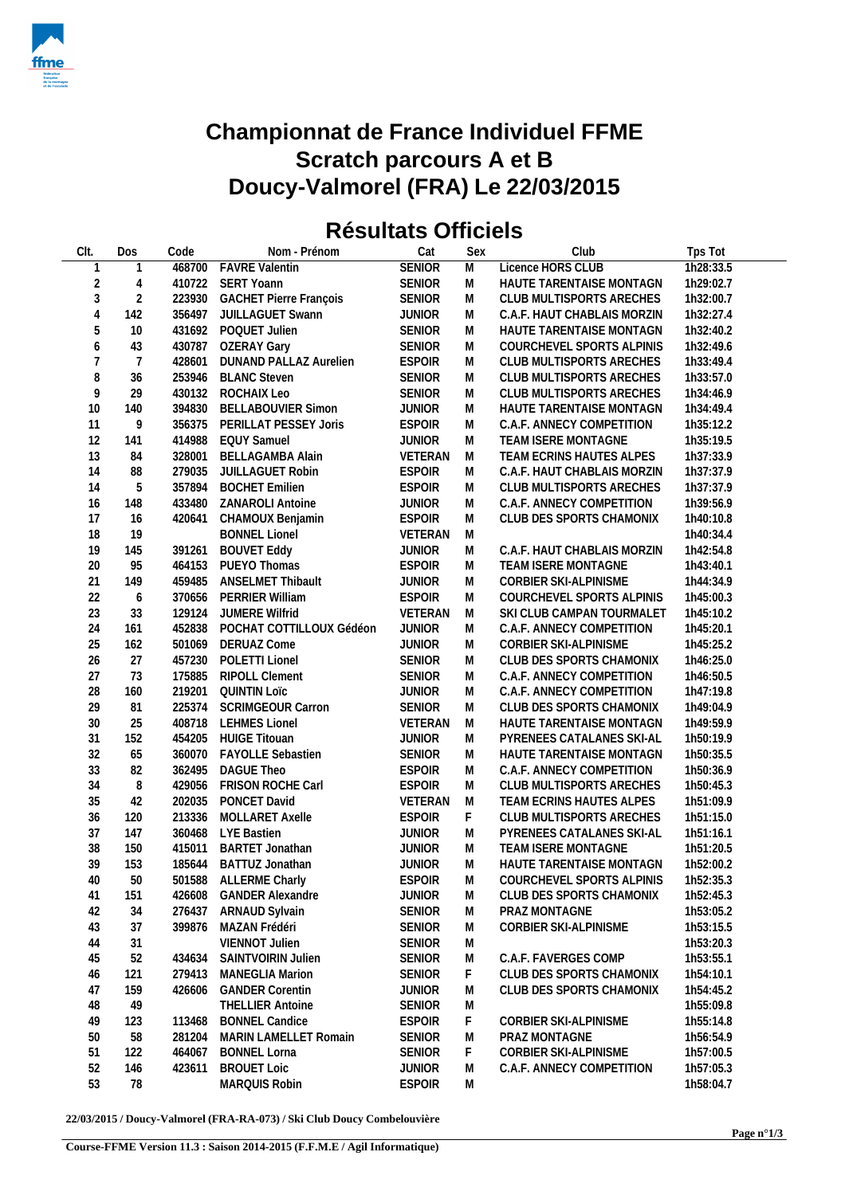

## **Championnat de France Individuel FFME Scratch parcours A et B Doucy-Valmorel (FRA) Le 22/03/2015**

## **Résultats Officiels**

| CIt.           | Dos            | Code   | Nom - Prénom                  | Cat           | Sex | Club                        | Tps Tot   |
|----------------|----------------|--------|-------------------------------|---------------|-----|-----------------------------|-----------|
| $\mathbf{1}$   |                |        | 468700 FAVRE Valentin         | <b>SENIOR</b> | M   | Licence HORS CLUB           | 1h28:33.5 |
| $\sqrt{2}$     | 4              |        | 410722 SERT Yoann             | <b>SENIOR</b> | M   | HAUTE TARENTAISE MONTAGN    | 1h29:02.7 |
| $\sqrt{3}$     | $\sqrt{2}$     |        | 223930 GACHET Pierre François | <b>SENIOR</b> | M   | CLUB MULTISPORTS ARECHES    | 1h32:00.7 |
| $\sqrt{4}$     | 142            |        | 356497 JUILLAGUET Swann       | <b>JUNIOR</b> | M   | C.A.F. HAUT CHABLAIS MORZIN | 1h32:27.4 |
| 5              | 10             |        | 431692 POQUET Julien          | <b>SENIOR</b> | M   | HAUTE TARENTAISE MONTAGN    | 1h32:40.2 |
| 6              | 43             |        | 430787 OZERAY Gary            | SENIOR        | M   | COURCHEVEL SPORTS ALPINIS   | 1h32:49.6 |
| $\overline{7}$ | $\overline{7}$ | 428601 | <b>DUNAND PALLAZ Aurelien</b> | <b>ESPOIR</b> | M   | CLUB MULTISPORTS ARECHES    | 1h33:49.4 |
| $\, 8$         | 36             |        | 253946 BLANC Steven           | <b>SENIOR</b> | M   | CLUB MULTISPORTS ARECHES    | 1h33:57.0 |
| 9              | 29             |        | 430132 ROCHAIX Leo            | <b>SENIOR</b> | M   | CLUB MULTISPORTS ARECHES    | 1h34:46.9 |
| 10             | 140            |        | 394830 BELLABOUVIER Simon     | <b>JUNIOR</b> | M   | HAUTE TARENTAISE MONTAGN    | 1h34:49.4 |
| 11             | 9              |        | 356375 PERILLAT PESSEY Joris  | <b>ESPOIR</b> | M   | C.A.F. ANNECY COMPETITION   | 1h35:12.2 |
| 12             | 141            |        | 414988 EQUY Samuel            | <b>JUNIOR</b> | M   | TEAM ISERE MONTAGNE         | 1h35:19.5 |
| 13             | 84             |        | 328001 BELLAGAMBA Alain       | VETERAN       | M   | TEAM ECRINS HAUTES ALPES    | 1h37:33.9 |
| 14             |                | 279035 |                               | <b>ESPOIR</b> |     | C.A.F. HAUT CHABLAIS MORZIN | 1h37:37.9 |
| 14             | 88<br>5        | 357894 | JUILLAGUET Robin              | <b>ESPOIR</b> | M   |                             |           |
|                |                |        | <b>BOCHET Emilien</b>         |               | M   | CLUB MULTISPORTS ARECHES    | 1h37:37.9 |
| 16             | 148            | 433480 | ZANAROLI Antoine              | <b>JUNIOR</b> | M   | C.A.F. ANNECY COMPETITION   | 1h39:56.9 |
| 17             | 16             | 420641 | CHAMOUX Benjamin              | <b>ESPOIR</b> | M   | CLUB DES SPORTS CHAMONIX    | 1h40:10.8 |
| 18             | 19             |        | <b>BONNEL Lionel</b>          | VETERAN       | M   |                             | 1h40:34.4 |
| 19             | 145            |        | 391261 BOUVET Eddy            | <b>JUNIOR</b> | M   | C.A.F. HAUT CHABLAIS MORZIN | 1h42:54.8 |
| 20             | 95             |        | 464153 PUEYO Thomas           | <b>ESPOIR</b> | M   | TEAM ISERE MONTAGNE         | 1h43:40.1 |
| 21             | 149            |        | 459485 ANSELMET Thibault      | <b>JUNIOR</b> | M   | CORBIER SKI-ALPINISME       | 1h44:34.9 |
| 22             | 6              | 370656 | <b>PERRIER William</b>        | <b>ESPOIR</b> | M   | COURCHEVEL SPORTS ALPINIS   | 1h45:00.3 |
| 23             | 33             | 129124 | JUMERE Wilfrid                | VETERAN       | M   | SKI CLUB CAMPAN TOURMALET   | 1h45:10.2 |
| 24             | 161            | 452838 | POCHAT COTTILLOUX Gédéon      | <b>JUNIOR</b> | M   | C.A.F. ANNECY COMPETITION   | 1h45:20.1 |
| 25             | 162            |        | 501069 DERUAZ Come            | <b>JUNIOR</b> | M   | CORBIER SKI-ALPINISME       | 1h45:25.2 |
| 26             | 27             |        | 457230 POLETTI Lionel         | <b>SENIOR</b> | M   | CLUB DES SPORTS CHAMONIX    | 1h46:25.0 |
| 27             | 73             | 175885 | RIPOLL Clement                | <b>SENIOR</b> | M   | C.A.F. ANNECY COMPETITION   | 1h46:50.5 |
| 28             | 160            | 219201 | QUINTIN Loïc                  | <b>JUNIOR</b> | M   | C.A.F. ANNECY COMPETITION   | 1h47:19.8 |
| 29             | 81             | 225374 | <b>SCRIMGEOUR Carron</b>      | <b>SENIOR</b> | M   | CLUB DES SPORTS CHAMONIX    | 1h49:04.9 |
| 30             | 25             | 408718 | <b>LEHMES Lionel</b>          | VETERAN       | M   | HAUTE TARENTAISE MONTAGN    | 1h49:59.9 |
| 31             | 152            | 454205 | <b>HUIGE Titouan</b>          | <b>JUNIOR</b> | M   | PYRENEES CATALANES SKI-AL   | 1h50:19.9 |
| 32             | 65             |        | 360070 FAYOLLE Sebastien      | SENIOR        | M   | HAUTE TARENTAISE MONTAGN    | 1h50:35.5 |
| 33             | 82             | 362495 | <b>DAGUE Theo</b>             | <b>ESPOIR</b> | M   | C.A.F. ANNECY COMPETITION   | 1h50:36.9 |
| 34             | 8              |        | 429056 FRISON ROCHE Carl      | <b>ESPOIR</b> | M   | CLUB MULTISPORTS ARECHES    | 1h50:45.3 |
| 35             | 42             | 202035 | PONCET David                  | VETERAN       | M   | TEAM ECRINS HAUTES ALPES    | 1h51:09.9 |
| 36             | 120            | 213336 | MOLLARET Axelle               | <b>ESPOIR</b> | F.  | CLUB MULTISPORTS ARECHES    | 1h51:15.0 |
| 37             | 147            |        | 360468 LYE Bastien            | <b>JUNIOR</b> | M   | PYRENEES CATALANES SKI-AL   | 1h51:16.1 |
| 38             | 150            |        | 415011 BARTET Jonathan        | <b>JUNIOR</b> | M   | TEAM ISERE MONTAGNE         | 1h51:20.5 |
| 39             | 153            |        | 185644 BATTUZ Jonathan        | <b>JUNIOR</b> | M   | HAUTE TARENTAISE MONTAGN    | 1h52:00.2 |
| 40             | 50             |        | 501588 ALLERME Charly         | <b>ESPOIR</b> | M   | COURCHEVEL SPORTS ALPINIS   | 1h52:35.3 |
| 41             | 151            | 426608 | <b>GANDER Alexandre</b>       | <b>JUNIOR</b> | M   | CLUB DES SPORTS CHAMONIX    | 1h52:45.3 |
| 42             | 34             | 276437 | ARNAUD Sylvain                | SENIOR        | M   | PRAZ MONTAGNE               | 1h53:05.2 |
| 43             | 37             | 399876 | MAZAN Frédéri                 | SENIOR        | M   | CORBIER SKI-ALPINISME       | 1h53:15.5 |
| 44             | 31             |        | VIENNOT Julien                | <b>SENIOR</b> | M   |                             | 1h53:20.3 |
| 45             | 52             | 434634 | SAINTVOIRIN Julien            | <b>SENIOR</b> | M   | C.A.F. FAVERGES COMP        | 1h53:55.1 |
| 46             | 121            | 279413 | <b>MANEGLIA Marion</b>        | SENIOR        | F.  | CLUB DES SPORTS CHAMONIX    | 1h54:10.1 |
|                |                |        |                               |               |     |                             |           |
| 47             | 159            | 426606 | <b>GANDER Corentin</b>        | <b>JUNIOR</b> | M   | CLUB DES SPORTS CHAMONIX    | 1h54:45.2 |
| 48             | 49             |        | <b>THELLIER Antoine</b>       | <b>SENIOR</b> | M   |                             | 1h55:09.8 |
| 49             | 123            | 113468 | <b>BONNEL Candice</b>         | <b>ESPOIR</b> | F   | CORBIER SKI-ALPINISME       | 1h55:14.8 |
| 50             | 58             | 281204 | MARIN LAMELLET Romain         | <b>SENIOR</b> | M   | PRAZ MONTAGNE               | 1h56:54.9 |
| 51             | 122            | 464067 | <b>BONNEL Lorna</b>           | <b>SENIOR</b> | F,  | CORBIER SKI-ALPINISME       | 1h57:00.5 |
| 52             | 146            | 423611 | <b>BROUET Loic</b>            | <b>JUNIOR</b> | M   | C.A.F. ANNECY COMPETITION   | 1h57:05.3 |
| 53             | 78             |        | MARQUIS Robin                 | <b>ESPOIR</b> | M   |                             | 1h58:04.7 |

**22/03/2015 / Doucy-Valmorel (FRA-RA-073) / Ski Club Doucy Combelouvière**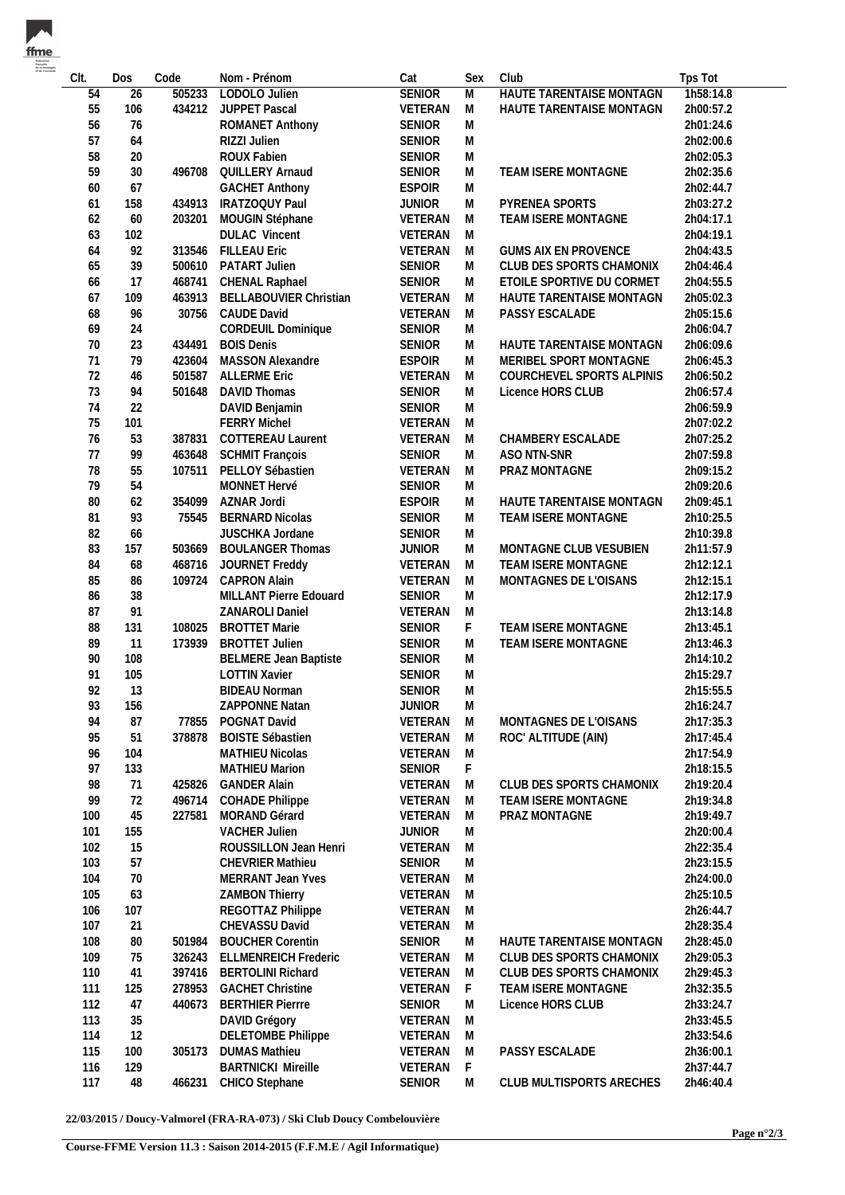| - 179 |
|-------|
|       |
|       |

| Clt.<br>54 | Dos<br>26 | Code<br>505233 | Nom - Prénom<br>LODOLO Julien           | Cat<br><b>SENIOR</b> | Sex<br>$\overline{M}$ | Club<br><b>HAUTE TARENTAISE MONTAGN</b> | Tps Tot<br>1h58:14.8 |
|------------|-----------|----------------|-----------------------------------------|----------------------|-----------------------|-----------------------------------------|----------------------|
|            |           | 434212         |                                         |                      |                       |                                         |                      |
| 55         | 106       |                | JUPPET Pascal                           | VETERAN              | M                     | HAUTE TARENTAISE MONTAGN                | 2h00:57.2            |
| 56         | 76        |                | ROMANET Anthony                         | SENIOR               | M                     |                                         | 2h01:24.6            |
| 57         | 64        |                | RIZZI Julien                            | <b>SENIOR</b>        | M                     |                                         | 2h02:00.6            |
| 58         | 20        |                | ROUX Fabien                             | <b>SENIOR</b>        | M                     |                                         | 2h02:05.3            |
| 59         | $30\,$    | 496708         | QUILLERY Arnaud                         | <b>SENIOR</b>        | M                     | TEAM ISERE MONTAGNE                     | 2h02:35.6            |
| 60         | 67        |                | <b>GACHET Anthony</b>                   | <b>ESPOIR</b>        | M                     |                                         | 2h02:44.7            |
| 61         | 158       | 434913         | IRATZOQUY Paul                          | <b>JUNIOR</b>        | M                     | PYRENEA SPORTS                          | 2h03:27.2            |
| 62         | 60        | 203201         | MOUGIN Stéphane                         | VETERAN              | M                     | TEAM ISERE MONTAGNE                     | 2h04:17.1            |
| 63         | 102       |                | <b>DULAC Vincent</b>                    | VETERAN              | M                     |                                         | 2h04:19.1            |
| 64         | 92        | 313546         | <b>FILLEAU Eric</b>                     | VETERAN              | M                     | <b>GUMS AIX EN PROVENCE</b>             | 2h04:43.5            |
| 65         | 39        | 500610         | PATART Julien                           | SENIOR               | M                     | CLUB DES SPORTS CHAMONIX                | 2h04:46.4            |
| 66         | 17        | 468741         | CHENAL Raphael                          | <b>SENIOR</b>        | M                     | ETOILE SPORTIVE DU CORMET               | 2h04:55.5            |
| 67         | 109       | 463913         | BELLABOUVIER Christian                  | VETERAN              | M                     | HAUTE TARENTAISE MONTAGN                | 2h05:02.3            |
| 68         | 96        | 30756          | CAUDE David                             | VETERAN              | M                     | PASSY ESCALADE                          | 2h05:15.6            |
| 69         | 24        |                | CORDEUIL Dominique                      | <b>SENIOR</b>        | M                     |                                         | 2h06:04.7            |
| 70         | 23        | 434491         | <b>BOIS Denis</b>                       | <b>SENIOR</b>        | M                     | HAUTE TARENTAISE MONTAGN                | 2h06:09.6            |
| 71         | 79        | 423604         | MASSON Alexandre                        | <b>ESPOIR</b>        | M                     | MERIBEL SPORT MONTAGNE                  | 2h06:45.3            |
| 72         | 46        | 501587         | <b>ALLERME Eric</b>                     | VETERAN              | M                     | COURCHEVEL SPORTS ALPINIS               | 2h06:50.2            |
| 73         | 94        | 501648         | DAVID Thomas                            | SENIOR               | M                     | Licence HORS CLUB                       | 2h06:57.4            |
| 74         | 22        |                | DAVID Benjamin                          | <b>SENIOR</b>        | M                     |                                         | 2h06:59.9            |
| 75         | 101       |                | <b>FERRY Michel</b>                     | VETERAN              | M                     |                                         | 2h07:02.2            |
| 76         | 53        | 387831         | COTTEREAU Laurent                       | VETERAN              | M                     | CHAMBERY ESCALADE                       | 2h07:25.2            |
| 77         | 99        | 463648         | <b>SCHMIT François</b>                  | <b>SENIOR</b>        | M                     | ASO NTN-SNR                             | 2h07:59.8            |
| 78         | 55        | 107511         | PELLOY Sébastien                        | VETERAN              | M                     | PRAZ MONTAGNE                           | 2h09:15.2            |
| 79         | 54        |                | MONNET Hervé                            | <b>SENIOR</b>        | M                     |                                         | 2h09:20.6            |
| $80\,$     | 62        | 354099         | AZNAR Jordi                             | <b>ESPOIR</b>        | M                     | HAUTE TARENTAISE MONTAGN                | 2h09:45.1            |
| 81         | 93        | 75545          | <b>BERNARD Nicolas</b>                  | <b>SENIOR</b>        | M                     | TEAM ISERE MONTAGNE                     | 2h10:25.5            |
| 82         | 66        |                | JUSCHKA Jordane                         | <b>SENIOR</b>        | M                     |                                         | 2h10:39.8            |
| 83         | 157       | 503669         | <b>BOULANGER Thomas</b>                 | <b>JUNIOR</b>        | M                     | MONTAGNE CLUB VESUBIEN                  | 2h11:57.9            |
| 84         | 68        | 468716         | JOURNET Freddy                          | VETERAN              | M                     | TEAM ISERE MONTAGNE                     | 2h12:12.1            |
| 85         | 86        | 109724         | <b>CAPRON Alain</b>                     | VETERAN              | M                     | MONTAGNES DE L'OISANS                   | 2h12:15.1            |
| 86         | 38        |                | MILLANT Pierre Edouard                  | <b>SENIOR</b>        |                       |                                         |                      |
| 87         | 91        |                |                                         | VETERAN              | M<br>M                |                                         | 2h12:17.9            |
| 88         |           | 108025         | ZANAROLI Daniel<br><b>BROTTET Marie</b> | SENIOR               |                       | TEAM ISERE MONTAGNE                     | 2h13:14.8            |
| 89         | 131<br>11 | 173939         | <b>BROTTET Julien</b>                   | SENIOR               | F<br>M                | TEAM ISERE MONTAGNE                     | 2h13:45.1            |
|            |           |                |                                         |                      |                       |                                         | 2h13:46.3            |
| 90         | 108       |                | <b>BELMERE Jean Baptiste</b>            | <b>SENIOR</b>        | M                     |                                         | 2h14:10.2            |
| 91         | 105       |                | <b>LOTTIN Xavier</b>                    | <b>SENIOR</b>        | M                     |                                         | 2h15:29.7            |
| 92         | 13        |                | <b>BIDEAU Norman</b>                    | <b>SENIOR</b>        | M                     |                                         | 2h15:55.5            |
| 93         | 156       |                | ZAPPONNE Natan                          | JUNIOR               | M                     |                                         | 2h16:24.7            |
| 94         | 87        | 77855          | POGNAT David                            | VETERAN              | M                     | MONTAGNES DE L'OISANS                   | 2h17:35.3            |
| 95         | 51        | 378878         | <b>BOISTE Sébastien</b>                 | VETERAN              | M                     | ROC' ALTITUDE (AIN)                     | 2h17:45.4            |
| 96         | 104       |                | <b>MATHIEU Nicolas</b>                  | VETERAN              | M                     |                                         | 2h17:54.9            |
| 97         | 133       |                | <b>MATHIEU Marion</b>                   | <b>SENIOR</b>        | F                     |                                         | 2h18:15.5            |
| 98         | 71        | 425826         | <b>GANDER Alain</b>                     | VETERAN              | M                     | CLUB DES SPORTS CHAMONIX                | 2h19:20.4            |
| 99         | 72        | 496714         | <b>COHADE Philippe</b>                  | VETERAN              | M                     | TEAM ISERE MONTAGNE                     | 2h19:34.8            |
| 100        | 45        | 227581         | MORAND Gérard                           | VETERAN              | M                     | PRAZ MONTAGNE                           | 2h19:49.7            |
| 101        | 155       |                | <b>VACHER Julien</b>                    | <b>JUNIOR</b>        | M                     |                                         | 2h20:00.4            |
| 102        | 15        |                | ROUSSILLON Jean Henri                   | VETERAN              | M                     |                                         | 2h22:35.4            |
| 103        | 57        |                | <b>CHEVRIER Mathieu</b>                 | <b>SENIOR</b>        | M                     |                                         | 2h23:15.5            |
| 104        | 70        |                | MERRANT Jean Yves                       | VETERAN              | M                     |                                         | 2h24:00.0            |
| 105        | 63        |                | <b>ZAMBON Thierry</b>                   | VETERAN              | M                     |                                         | 2h25:10.5            |
| 106        | 107       |                | REGOTTAZ Philippe                       | VETERAN              | M                     |                                         | 2h26:44.7            |
| 107        | 21        |                | CHEVASSU David                          | VETERAN              | M                     |                                         | 2h28:35.4            |
| 108        | 80        | 501984         | <b>BOUCHER Corentin</b>                 | <b>SENIOR</b>        | M                     | HAUTE TARENTAISE MONTAGN                | 2h28:45.0            |
| 109        | 75        | 326243         | <b>ELLMENREICH Frederic</b>             | VETERAN              | M                     | CLUB DES SPORTS CHAMONIX                | 2h29:05.3            |
| 110        | 41        | 397416         | <b>BERTOLINI Richard</b>                | VETERAN              | M                     | CLUB DES SPORTS CHAMONIX                | 2h29:45.3            |
| 111        | 125       | 278953         | <b>GACHET Christine</b>                 | VETERAN              | F                     | TEAM ISERE MONTAGNE                     | 2h32:35.5            |
| 112        | 47        | 440673         | <b>BERTHIER Pierrre</b>                 | <b>SENIOR</b>        | M                     | Licence HORS CLUB                       | 2h33:24.7            |
| 113        | 35        |                | DAVID Grégory                           | VETERAN              | M                     |                                         | 2h33:45.5            |
| 114        | 12        |                | <b>DELETOMBE Philippe</b>               | VETERAN              | M                     |                                         | 2h33:54.6            |
| 115        | 100       | 305173         | <b>DUMAS Mathieu</b>                    | VETERAN              | M                     | PASSY ESCALADE                          | 2h36:00.1            |
| 116        | 129       |                | <b>BARTNICKI Mireille</b>               | VETERAN              | F                     |                                         | 2h37:44.7            |
| 117        | 48        | 466231         | CHICO Stephane                          | <b>SENIOR</b>        | M                     | CLUB MULTISPORTS ARECHES                | 2h46:40.4            |
|            |           |                |                                         |                      |                       |                                         |                      |

**22/03/2015 / Doucy-Valmorel (FRA-RA-073) / Ski Club Doucy Combelouvière**